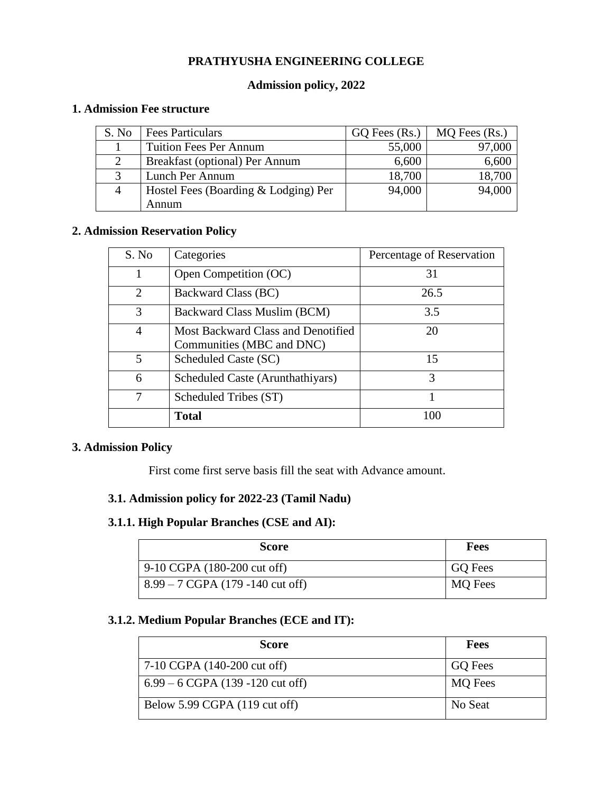## **PRATHYUSHA ENGINEERING COLLEGE**

#### **Admission policy, 2022**

#### **1. Admission Fee structure**

| S. No | Fees Particulars                     | $GQ$ Fees $(Rs.)$ | MQ Fees (Rs.) |
|-------|--------------------------------------|-------------------|---------------|
|       | <b>Tuition Fees Per Annum</b>        | 55,000            | 97,000        |
|       | Breakfast (optional) Per Annum       | 6,600             | 6,600         |
|       | Lunch Per Annum                      | 18,700            | 18,700        |
| 4     | Hostel Fees (Boarding & Lodging) Per | 94,000            | 94,000        |
|       | Annum                                |                   |               |

#### **2. Admission Reservation Policy**

| S. No                       | Categories                                                      | Percentage of Reservation |
|-----------------------------|-----------------------------------------------------------------|---------------------------|
| 1                           | Open Competition (OC)                                           | 31                        |
| $\mathcal{D}_{\mathcal{L}}$ | Backward Class (BC)                                             | 26.5                      |
| 3                           | Backward Class Muslim (BCM)                                     | 3.5                       |
| 4                           | Most Backward Class and Denotified<br>Communities (MBC and DNC) | 20                        |
| 5                           | Scheduled Caste (SC)                                            | 15                        |
| 6                           | Scheduled Caste (Arunthathiyars)                                | 3                         |
| 7                           | Scheduled Tribes (ST)                                           |                           |
|                             | <b>Total</b>                                                    | 100                       |

### **3. Admission Policy**

First come first serve basis fill the seat with Advance amount.

# **3.1. Admission policy for 2022-23 (Tamil Nadu)**

#### **3.1.1. High Popular Branches (CSE and AI):**

| Score                                               | Fees           |
|-----------------------------------------------------|----------------|
| 9-10 CGPA (180-200 cut off)                         | <b>GO</b> Fees |
| $8.99 - 7 \text{ CGPA} (179 - 140 \text{ cut off})$ | <b>MQ</b> Fees |

#### **3.1.2. Medium Popular Branches (ECE and IT):**

| <b>Score</b>                               | Fees           |
|--------------------------------------------|----------------|
| 7-10 CGPA (140-200 cut off)                | <b>GQ</b> Fees |
| $6.99 - 6 \text{ CGPA}$ (139 -120 cut off) | <b>MQ</b> Fees |
| Below 5.99 CGPA (119 cut off)              | No Seat        |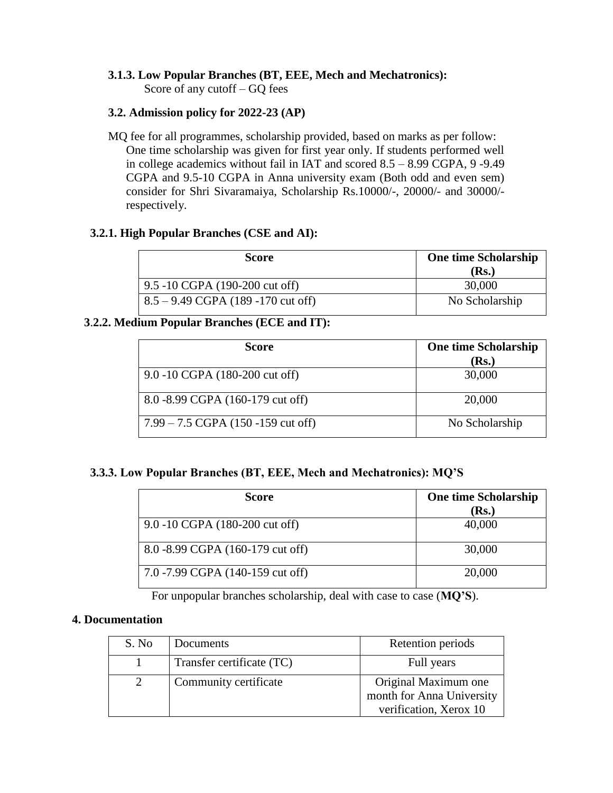# **3.1.3. Low Popular Branches (BT, EEE, Mech and Mechatronics):**

Score of any cutoff – GQ fees

## **3.2. Admission policy for 2022-23 (AP)**

MQ fee for all programmes, scholarship provided, based on marks as per follow: One time scholarship was given for first year only. If students performed well in college academics without fail in IAT and scored 8.5 – 8.99 CGPA, 9 -9.49 CGPA and 9.5-10 CGPA in Anna university exam (Both odd and even sem) consider for Shri Sivaramaiya, Scholarship Rs.10000/-, 20000/- and 30000/ respectively.

## **3.2.1. High Popular Branches (CSE and AI):**

| Score                                      | <b>One time Scholarship</b><br>(Rs.) |
|--------------------------------------------|--------------------------------------|
| 9.5 -10 CGPA (190-200 cut off)             | 30,000                               |
| $\vert$ 8.5 – 9.49 CGPA (189 -170 cut off) | No Scholarship                       |

# **3**.**2.2. Medium Popular Branches (ECE and IT):**

| <b>Score</b>                            | <b>One time Scholarship</b> |
|-----------------------------------------|-----------------------------|
|                                         | (Rs.)                       |
| 9.0 -10 CGPA (180-200 cut off)          | 30,000                      |
| 8.0 -8.99 CGPA (160-179 cut off)        | 20,000                      |
| $7.99 - 7.5$ CGPA $(150 - 159$ cut off) | No Scholarship              |

### **3.3.3. Low Popular Branches (BT, EEE, Mech and Mechatronics): MQ'S**

| <b>Score</b>                     | <b>One time Scholarship</b><br>( <b>Rs.</b> ) |
|----------------------------------|-----------------------------------------------|
| 9.0 -10 CGPA (180-200 cut off)   | 40,000                                        |
| 8.0 -8.99 CGPA (160-179 cut off) | 30,000                                        |
| 7.0 -7.99 CGPA (140-159 cut off) | 20,000                                        |

For unpopular branches scholarship, deal with case to case (**MQ'S**).

### **4. Documentation**

| S. No | Documents                 | Retention periods                                                           |
|-------|---------------------------|-----------------------------------------------------------------------------|
|       | Transfer certificate (TC) | Full years                                                                  |
|       | Community certificate     | Original Maximum one<br>month for Anna University<br>verification, Xerox 10 |